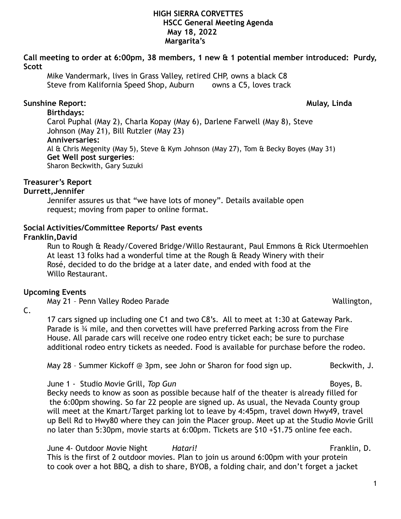**Call meeting to order at 6:00pm, 38 members, 1 new & 1 potential member introduced: Purdy, Scott** 

Mike Vandermark, lives in Grass Valley, retired CHP, owns a black C8 Steve from Kalifornia Speed Shop, Auburn owns a C5, loves track

# **Sunshine Report: Mulay, Linda**

**Birthdays:**  Carol Puphal (May 2), Charla Kopay (May 6), Darlene Farwell (May 8), Steve Johnson (May 21), Bill Rutzler (May 23) **Anniversaries:**  Al & Chris Megenity (May 5), Steve & Kym Johnson (May 27), Tom & Becky Boyes (May 31) **Get Well post surgeries**: Sharon Beckwith, Gary Suzuki

# **Treasurer's Report**

# **Durrett,Jennifer**

Jennifer assures us that "we have lots of money". Details available open request; moving from paper to online format.

# **Social Activities/Committee Reports/ Past events**

# **Franklin,David**

Run to Rough & Ready/Covered Bridge/Willo Restaurant, Paul Emmons & Rick Utermoehlen At least 13 folks had a wonderful time at the Rough & Ready Winery with their Rosé, decided to do the bridge at a later date, and ended with food at the Willo Restaurant.

## **Upcoming Events**

May 21 - Penn Valley Rodeo Parade Wallington, Nay 21 - Penn Vallington,

C.

17 cars signed up including one C1 and two C8's. All to meet at 1:30 at Gateway Park. Parade is ¾ mile, and then corvettes will have preferred Parking across from the Fire House. All parade cars will receive one rodeo entry ticket each; be sure to purchase additional rodeo entry tickets as needed. Food is available for purchase before the rodeo.

May 28 – Summer Kickoff @ 3pm, see John or Sharon for food sign up. Beckwith, J.

June 1 - Studio Movie Grill, *Top Gun* Boyes, B.

 Becky needs to know as soon as possible because half of the theater is already filled for the 6:00pm showing. So far 22 people are signed up. As usual, the Nevada County group will meet at the Kmart/Target parking lot to leave by 4:45pm, travel down Hwy49, travel up Bell Rd to Hwy80 where they can join the Placer group. Meet up at the Studio Movie Grill no later than 5:30pm, movie starts at 6:00pm. Tickets are \$10 +\$1.75 online fee each.

June 4- Outdoor Movie Night *Hatari!* Franklin, D. This is the first of 2 outdoor movies. Plan to join us around 6:00pm with your protein to cook over a hot BBQ, a dish to share, BYOB, a folding chair, and don't forget a jacket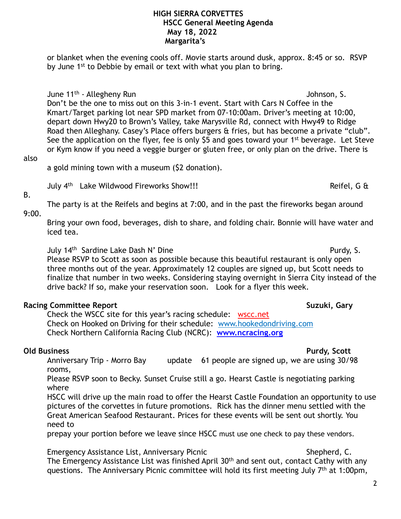or blanket when the evening cools off. Movie starts around dusk, approx. 8:45 or so. RSVP by June 1<sup>st</sup> to Debbie by email or text with what you plan to bring.

June 11<sup>th</sup> - Allegheny Run Johnson, S.

 Don't be the one to miss out on this 3-in-1 event. Start with Cars N Coffee in the Kmart/Target parking lot near SPD market from 07-10:00am. Driver's meeting at 10:00, depart down Hwy20 to Brown's Valley, take Marysville Rd, connect with Hwy49 to Ridge Road then Alleghany. Casey's Place offers burgers & fries, but has become a private "club". See the application on the flyer, fee is only \$5 and goes toward your 1<sup>st</sup> beverage. Let Steve or Kym know if you need a veggie burger or gluten free, or only plan on the drive. There is

## also

a gold mining town with a museum (\$2 donation).

July 4<sup>th</sup> Lake Wildwood Fireworks Show!!! Show and the settlement of the Reifel, G &

9:00.

B.

Bring your own food, beverages, dish to share, and folding chair. Bonnie will have water and iced tea.

The party is at the Reifels and begins at 7:00, and in the past the fireworks began around

July 14<sup>th</sup> Sardine Lake Dash N' Dine **Purdy, S.** Purdy, S.

 Please RSVP to Scott as soon as possible because this beautiful restaurant is only open three months out of the year. Approximately 12 couples are signed up, but Scott needs to finalize that number in two weeks. Considering staying overnight in Sierra City instead of the drive back? If so, make your reservation soon. Look for a flyer this week.

# **Racing Committee Report Suzuki, Gary**

Check the WSCC site for this year's racing schedule: [wscc.net](https://wscc.net/) Check on Hooked on Driving for their schedule: [www.hookedondriving.com](http://www.hookedondriving.com) Check Northern California Racing Club (NCRC): **[www.ncracing.org](http://www.ncracing.org)** 

# **Old Business Purdy, Scott**

Anniversary Trip - Morro Bay update 61 people are signed up, we are using 30/98 rooms,

Please RSVP soon to Becky. Sunset Cruise still a go. Hearst Castle is negotiating parking where

HSCC will drive up the main road to offer the Hearst Castle Foundation an opportunity to use pictures of the corvettes in future promotions. Rick has the dinner menu settled with the Great American Seafood Restaurant. Prices for these events will be sent out shortly. You need to

prepay your portion before we leave since HSCC must use one check to pay these vendors.

Emergency Assistance List, Anniversary Picnic New Shepherd, C. The Emergency Assistance List was finished April 30<sup>th</sup> and sent out, contact Cathy with any questions. The Anniversary Picnic committee will hold its first meeting July 7th at 1:00pm,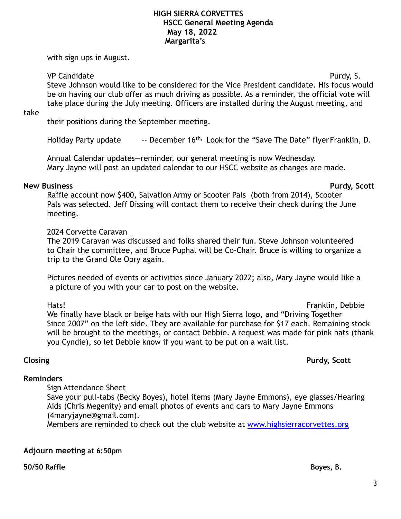with sign ups in August.

## VP Candidate Purdy, S.

Steve Johnson would like to be considered for the Vice President candidate. His focus would be on having our club offer as much driving as possible. As a reminder, the official vote will take place during the July meeting. Officers are installed during the August meeting, and

take

their positions during the September meeting.

Holiday Party update -- December 16<sup>th,</sup> Look for the "Save The Date" flyer Franklin, D.

Annual Calendar updates—reminder, our general meeting is now Wednesday. Mary Jayne will post an updated calendar to our HSCC website as changes are made.

#### **New Business Purdy, Scott**

 Raffle account now \$400, Salvation Army or Scooter Pals (both from 2014), Scooter Pals was selected. Jeff Dissing will contact them to receive their check during the June meeting.

## 2024 Corvette Caravan

 The 2019 Caravan was discussed and folks shared their fun. Steve Johnson volunteered to Chair the committee, and Bruce Puphal will be Co-Chair. Bruce is willing to organize a trip to the Grand Ole Opry again.

Pictures needed of events or activities since January 2022; also, Mary Jayne would like a a picture of you with your car to post on the website.

Hats! Franklin, Debbie We finally have black or beige hats with our High Sierra logo, and "Driving Together Since 2007" on the left side. They are available for purchase for \$17 each. Remaining stock will be brought to the meetings, or contact Debbie. A request was made for pink hats (thank you Cyndie), so let Debbie know if you want to be put on a wait list.

**Reminders** 

**Closing Purdy, Scott** 

# Sign Attendance Sheet

Save your pull-tabs (Becky Boyes), hotel items (Mary Jayne Emmons), eye glasses/Hearing Aids (Chris Megenity) and email photos of events and cars to Mary Jayne Emmons (4maryjayne@gmail.com).

Members are reminded to check out the club website at [www.highsierracorvettes.org](http://www.highsierracorvettes.org/)

## **Adjourn meeting at 6:50pm**

### **50/50 Raffle Boyes, B.**